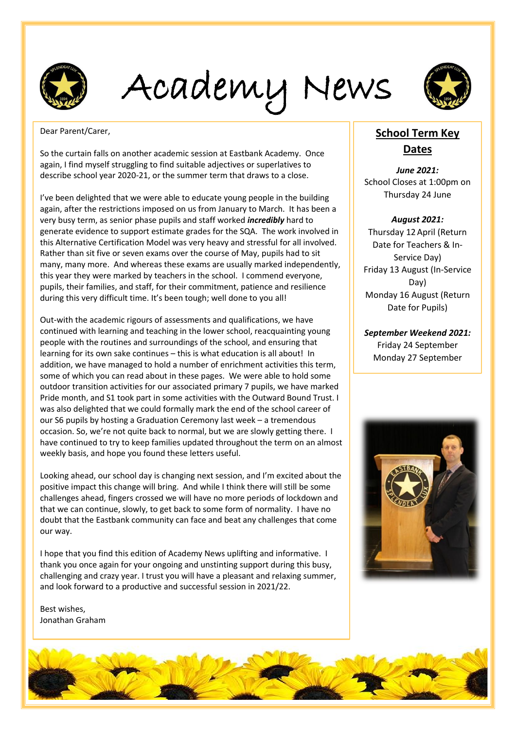

Academy News



Dear Parent/Carer,

So the curtain falls on another academic session at Eastbank Academy. Once again, I find myself struggling to find suitable adjectives or superlatives to describe school year 2020-21, or the summer term that draws to a close.

I've been delighted that we were able to educate young people in the building again, after the restrictions imposed on us from January to March. It has been a very busy term, as senior phase pupils and staff worked *incredibly* hard to generate evidence to support estimate grades for the SQA. The work involved in this Alternative Certification Model was very heavy and stressful for all involved. Rather than sit five or seven exams over the course of May, pupils had to sit many, many more. And whereas these exams are usually marked independently, this year they were marked by teachers in the school. I commend everyone, pupils, their families, and staff, for their commitment, patience and resilience during this very difficult time. It's been tough; well done to you all!

Out-with the academic rigours of assessments and qualifications, we have continued with learning and teaching in the lower school, reacquainting young people with the routines and surroundings of the school, and ensuring that learning for its own sake continues – this is what education is all about! In addition, we have managed to hold a number of enrichment activities this term, some of which you can read about in these pages. We were able to hold some outdoor transition activities for our associated primary 7 pupils, we have marked Pride month, and S1 took part in some activities with the Outward Bound Trust. I was also delighted that we could formally mark the end of the school career of our S6 pupils by hosting a Graduation Ceremony last week – a tremendous occasion. So, we're not quite back to normal, but we are slowly getting there. I have continued to try to keep families updated throughout the term on an almost weekly basis, and hope you found these letters useful.

Looking ahead, our school day is changing next session, and I'm excited about the positive impact this change will bring. And while I think there will still be some challenges ahead, fingers crossed we will have no more periods of lockdown and that we can continue, slowly, to get back to some form of normality. I have no doubt that the Eastbank community can face and beat any challenges that come our way.

I hope that you find this edition of Academy News uplifting and informative. I thank you once again for your ongoing and unstinting support during this busy, challenging and crazy year. I trust you will have a pleasant and relaxing summer, and look forward to a productive and successful session in 2021/22.

Best wishes, Jonathan Graham

#### **School Term Key Dates**

*June 2021:* School Closes at 1:00pm on Thursday 24 June

#### *August 2021:*

Thursday 12 April (Return Date for Teachers & In-Service Day) Friday 13 August (In-Service Day) Monday 16 August (Return Date for Pupils)

*September Weekend 2021:* Friday 24 September Monday 27 September



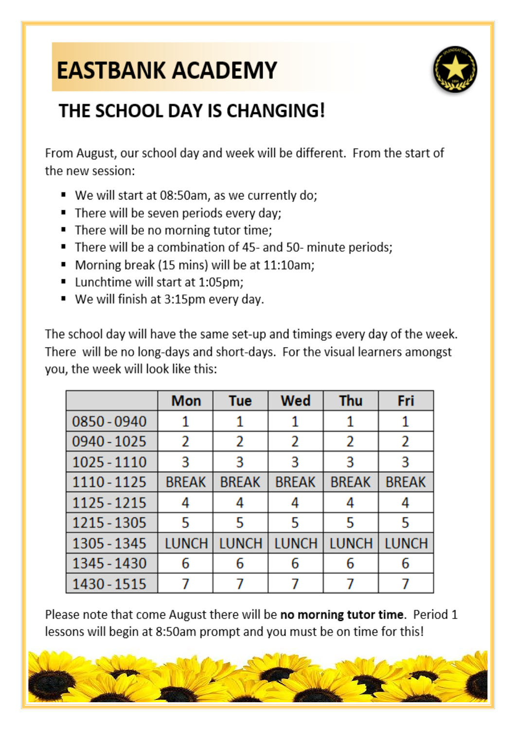## **EASTBANK ACADEMY**



### THE SCHOOL DAY IS CHANGING!

From August, our school day and week will be different. From the start of the new session:

- We will start at 08:50am, as we currently do;
- There will be seven periods every day:
- There will be no morning tutor time;
- There will be a combination of 45- and 50- minute periods;
- Morning break (15 mins) will be at 11:10am;
- Lunchtime will start at 1:05pm;
- We will finish at 3:15pm every day.

The school day will have the same set-up and timings every day of the week. There will be no long-days and short-days. For the visual learners amongst you, the week will look like this:

|             | <b>Mon</b>   | Tue          | Wed          | <b>Thu</b>   | Fri          |
|-------------|--------------|--------------|--------------|--------------|--------------|
| 0850 - 0940 | 1            |              |              |              |              |
| 0940 - 1025 | 2            | 2            | 2            | 2            | 2            |
| 1025 - 1110 | 3            | 3            | 3            | 3            | 3            |
| 1110 - 1125 | <b>BREAK</b> | <b>BREAK</b> | <b>BREAK</b> | <b>BREAK</b> | <b>BREAK</b> |
| 1125 - 1215 | 4            |              | 4            |              |              |
| 1215 - 1305 | 5            | 5            | 5            | 5            | 5            |
| 1305 - 1345 | <b>LUNCH</b> | <b>LUNCH</b> | <b>LUNCH</b> | <b>LUNCH</b> | <b>LUNCH</b> |
| 1345 - 1430 | 6            | 6            | 6            | 6            | 6            |
| 1430 - 1515 | 7            |              |              |              |              |

Please note that come August there will be no morning tutor time. Period 1 lessons will begin at 8:50am prompt and you must be on time for this!

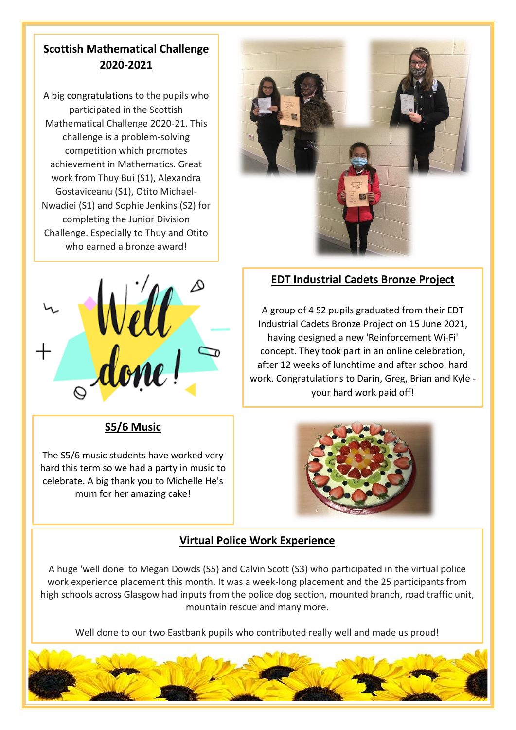#### **Scottish Mathematical Challenge 2020-2021**

who earned a bronze award! A big congratulations to the pupils who participated in the Scottish Mathematical Challenge 2020-21. This challenge is a problem-solving competition which promotes achievement in Mathematics. Great work from Thuy Bui (S1), Alexandra Gostaviceanu (S1), Otito Michael-Nwadiei (S1) and Sophie Jenkins (S2) for completing the Junior Division Challenge. Especially to Thuy and Otito



**S5/6 Music**

The S5/6 music students have worked very hard this term so we had a party in music to celebrate. A big thank you to Michelle He's mum for her amazing cake!



#### **EDT Industrial Cadets Bronze Project**

A group of 4 S2 pupils graduated from their EDT Industrial Cadets Bronze Project on 15 June 2021, having designed a new 'Reinforcement Wi-Fi' concept. They took part in an online celebration, after 12 weeks of lunchtime and after school hard work. Congratulations to Darin, Greg, Brian and Kyle your hard work paid off!



#### **Virtual Police Work Experience**

A huge 'well done' to Megan Dowds (S5) and Calvin Scott (S3) who participated in the virtual police work experience placement this month. It was a week-long placement and the 25 participants from high schools across Glasgow had inputs from the police dog section, mounted branch, road traffic unit, mountain rescue and many more.

Well done to our two Eastbank pupils who contributed really well and made us proud!

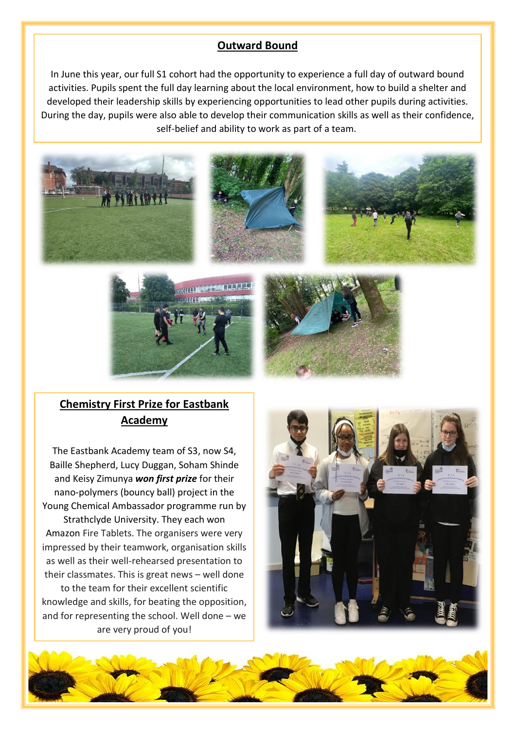#### **Outward Bound**

In June this year, our full S1 cohort had the opportunity to experience a full day of outward bound activities. Pupils spent the full day learning about the local environment, how to build a shelter and developed their leadership skills by experiencing opportunities to lead other pupils during activities. During the day, pupils were also able to develop their communication skills as well as their confidence, self-belief and ability to work as part of a team.







#### **Chemistry First Prize for Eastbank Academy**

The Eastbank Academy team of S3, now S4, Baille Shepherd, Lucy Duggan, Soham Shinde and Keisy Zimunya *won first prize* for their nano-polymers (bouncy ball) project in the Young Chemical Ambassador programme run by Strathclyde University. They each won Amazon Fire Tablets. The organisers were very impressed by their teamwork, organisation skills as well as their well-rehearsed presentation to their classmates. This is great news – well done to the team for their excellent scientific knowledge and skills, for beating the opposition, and for representing the school. Well done – we are very proud of you!